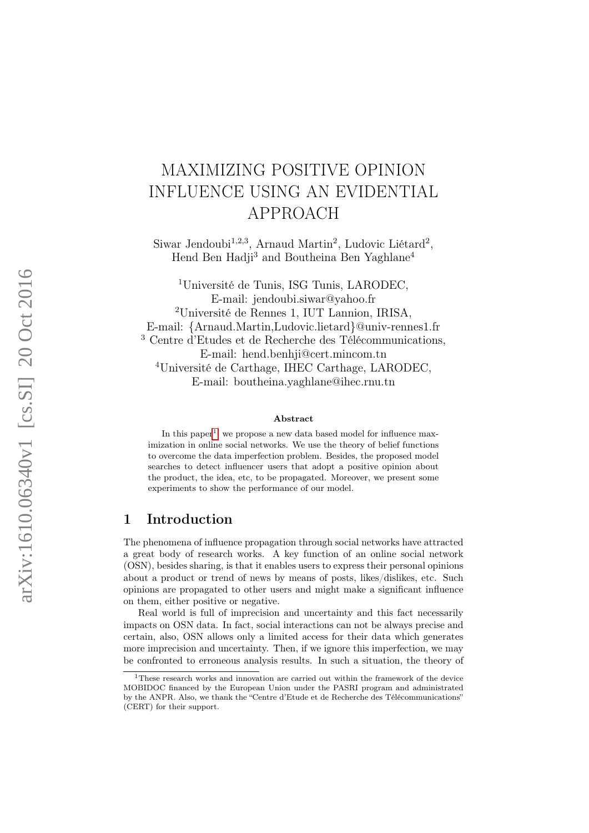# MAXIMIZING POSITIVE OPINION INFLUENCE USING AN EVIDENTIAL APPROACH

Siwar Jendoubi<sup>1,2,3</sup>, Arnaud Martin<sup>2</sup>, Ludovic Liétard<sup>2</sup>, Hend Ben Hadji<sup>3</sup> and Boutheina Ben Yaghlane<sup>4</sup>

<sup>1</sup>Université de Tunis, ISG Tunis, LARODEC, E-mail: jendoubi.siwar@yahoo.fr <sup>2</sup>Université de Rennes 1, IUT Lannion, IRISA, E-mail: {Arnaud.Martin,Ludovic.lietard}@univ-rennes1.fr <sup>3</sup> Centre d'Etudes et de Recherche des Télécommunications, E-mail: hend.benhji@cert.mincom.tn <sup>4</sup>Université de Carthage, IHEC Carthage, LARODEC, E-mail: boutheina.yaghlane@ihec.rnu.tn

#### Abstract

In this paper<sup>[1](#page-0-0)</sup>, we propose a new data based model for influence maximization in online social networks. We use the theory of belief functions to overcome the data imperfection problem. Besides, the proposed model searches to detect influencer users that adopt a positive opinion about the product, the idea, etc, to be propagated. Moreover, we present some experiments to show the performance of our model.

## 1 Introduction

The phenomena of influence propagation through social networks have attracted a great body of research works. A key function of an online social network (OSN), besides sharing, is that it enables users to express their personal opinions about a product or trend of news by means of posts, likes/dislikes, etc. Such opinions are propagated to other users and might make a significant influence on them, either positive or negative.

Real world is full of imprecision and uncertainty and this fact necessarily impacts on OSN data. In fact, social interactions can not be always precise and certain, also, OSN allows only a limited access for their data which generates more imprecision and uncertainty. Then, if we ignore this imperfection, we may be confronted to erroneous analysis results. In such a situation, the theory of

<span id="page-0-0"></span><sup>&</sup>lt;sup>1</sup>These research works and innovation are carried out within the framework of the device MOBIDOC financed by the European Union under the PASRI program and administrated by the ANPR. Also, we thank the "Centre d'Etude et de Recherche des Télécommunications" (CERT) for their support.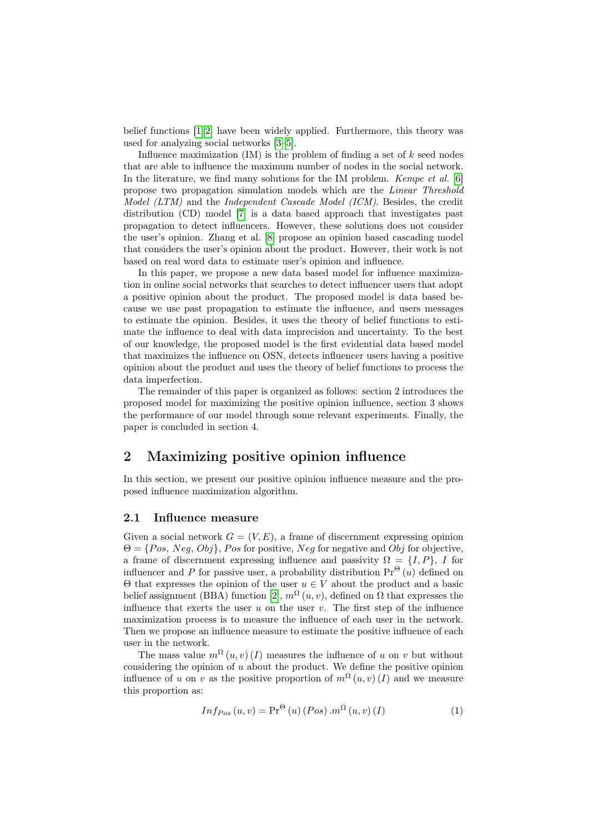belief functions [\[1,](#page-4-0) [2\]](#page-4-1) have been widely applied. Furthermore, this theory was used for analyzing social networks [\[3](#page-4-2)[–5\]](#page-4-3).

Influence maximization  $(IM)$  is the problem of finding a set of k seed nodes that are able to influence the maximum number of nodes in the social network. In the literature, we find many solutions for the IM problem. Kempe et al. [\[6\]](#page-4-4) propose two propagation simulation models which are the Linear Threshold Model (LTM) and the Independent Cascade Model (ICM). Besides, the credit distribution (CD) model [\[7\]](#page-5-0) is a data based approach that investigates past propagation to detect influencers. However, these solutions does not consider the user's opinion. Zhang et al. [\[8\]](#page-5-1) propose an opinion based cascading model that considers the user's opinion about the product. However, their work is not based on real word data to estimate user's opinion and influence.

In this paper, we propose a new data based model for influence maximization in online social networks that searches to detect influencer users that adopt a positive opinion about the product. The proposed model is data based because we use past propagation to estimate the influence, and users messages to estimate the opinion. Besides, it uses the theory of belief functions to estimate the influence to deal with data imprecision and uncertainty. To the best of our knowledge, the proposed model is the first evidential data based model that maximizes the influence on OSN, detects influencer users having a positive opinion about the product and uses the theory of belief functions to process the data imperfection.

The remainder of this paper is organized as follows: section 2 introduces the proposed model for maximizing the positive opinion influence, section 3 shows the performance of our model through some relevant experiments. Finally, the paper is concluded in section 4.

# 2 Maximizing positive opinion influence

In this section, we present our positive opinion influence measure and the proposed influence maximization algorithm.

#### 2.1 Influence measure

Given a social network  $G = (V, E)$ , a frame of discernment expressing opinion  $\Theta = \{Pos, Neg, Obj\}, Pos$  for positive, Neg for negative and  $Obj$  for objective, a frame of discernment expressing influence and passivity  $\Omega = \{I, P\}, I$  for influencer and P for passive user, a probability distribution  $Pr^{(\Theta)}(u)$  defined on  $\Theta$  that expresses the opinion of the user  $u \in V$  about the product and a basic belief assignment (BBA) function [\[2\]](#page-4-1),  $m^{\Omega}(u, v)$ , defined on  $\Omega$  that expresses the influence that exerts the user u on the user v. The first step of the influence maximization process is to measure the influence of each user in the network. Then we propose an influence measure to estimate the positive influence of each user in the network.

The mass value  $m^{\Omega}(u, v)(I)$  measures the influence of u on v but without considering the opinion of  $u$  about the product. We define the positive opinion influence of u on v as the positive proportion of  $m^{\Omega}(u, v)(I)$  and we measure this proportion as:

$$
Inf_{Pos}(u,v) = \Pr^{\Theta}(u) (Pos) . m^{\Omega}(u,v) (I)
$$
 (1)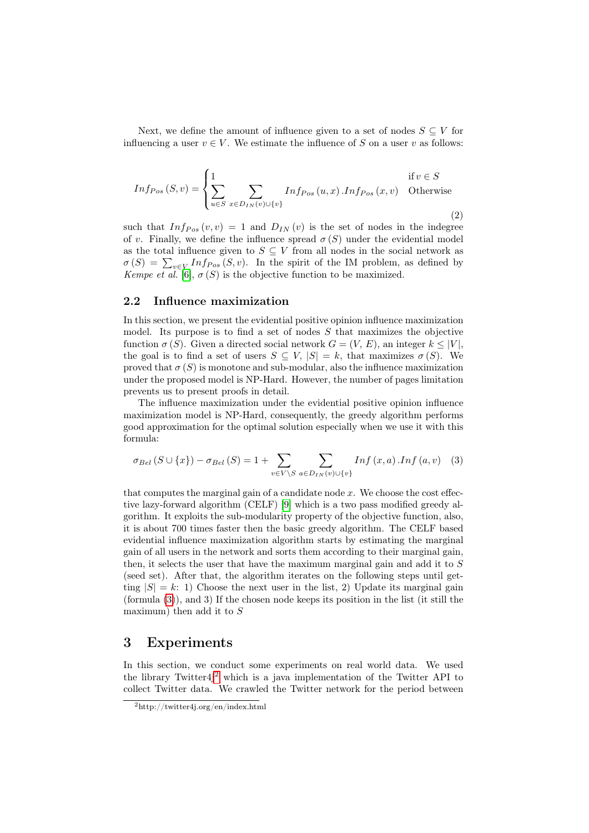Next, we define the amount of influence given to a set of nodes  $S \subseteq V$  for influencing a user  $v \in V$ . We estimate the influence of S on a user v as follows:

$$
Inf_{Pos}(S, v) = \begin{cases} 1 & \text{if } v \in S \\ \sum_{u \in S} \sum_{x \in D_{IN}(v) \cup \{v\}} Inf_{Pos}(u, x) \cdot Inf_{Pos}(x, v) & \text{Otherwise} \end{cases}
$$
(2)

such that  $Inf_{Pos}(v, v) = 1$  and  $D_{IN}(v)$  is the set of nodes in the indegree of v. Finally, we define the influence spread  $\sigma(S)$  under the evidential model as the total influence given to  $S \subseteq V$  from all nodes in the social network as  $\sigma(S) = \sum_{v \in V} Inf_{Pos}(S, v)$ . In the spirit of the IM problem, as defined by Kempe et al. [\[6\]](#page-4-4),  $\sigma(S)$  is the objective function to be maximized.

#### 2.2 Influence maximization

In this section, we present the evidential positive opinion influence maximization model. Its purpose is to find a set of nodes  $S$  that maximizes the objective function  $\sigma(S)$ . Given a directed social network  $G = (V, E)$ , an integer  $k \leq |V|$ , the goal is to find a set of users  $S \subseteq V$ ,  $|S| = k$ , that maximizes  $\sigma(S)$ . We proved that  $\sigma(S)$  is monotone and sub-modular, also the influence maximization under the proposed model is NP-Hard. However, the number of pages limitation prevents us to present proofs in detail.

The influence maximization under the evidential positive opinion influence maximization model is NP-Hard, consequently, the greedy algorithm performs good approximation for the optimal solution especially when we use it with this formula:

<span id="page-2-0"></span>
$$
\sigma_{Bel}(S \cup \{x\}) - \sigma_{Bel}(S) = 1 + \sum_{v \in V \backslash S} \sum_{a \in D_{IN}(v) \cup \{v\}} Inf(x, a) \cdot Inf(a, v) \quad (3)
$$

that computes the marginal gain of a candidate node  $x$ . We choose the cost effective lazy-forward algorithm (CELF) [\[9\]](#page-5-2) which is a two pass modified greedy algorithm. It exploits the sub-modularity property of the objective function, also, it is about 700 times faster then the basic greedy algorithm. The CELF based evidential influence maximization algorithm starts by estimating the marginal gain of all users in the network and sorts them according to their marginal gain, then, it selects the user that have the maximum marginal gain and add it to  $S$ (seed set). After that, the algorithm iterates on the following steps until getting  $|S| = k$ : 1) Choose the next user in the list, 2) Update its marginal gain (formula [\(3\)](#page-2-0)), and 3) If the chosen node keeps its position in the list (it still the maximum) then add it to  $S$ 

### 3 Experiments

In this section, we conduct some experiments on real world data. We used the library Twitter4j[2](#page-2-1) which is a java implementation of the Twitter API to collect Twitter data. We crawled the Twitter network for the period between

<span id="page-2-1"></span><sup>2</sup>http://twitter4j.org/en/index.html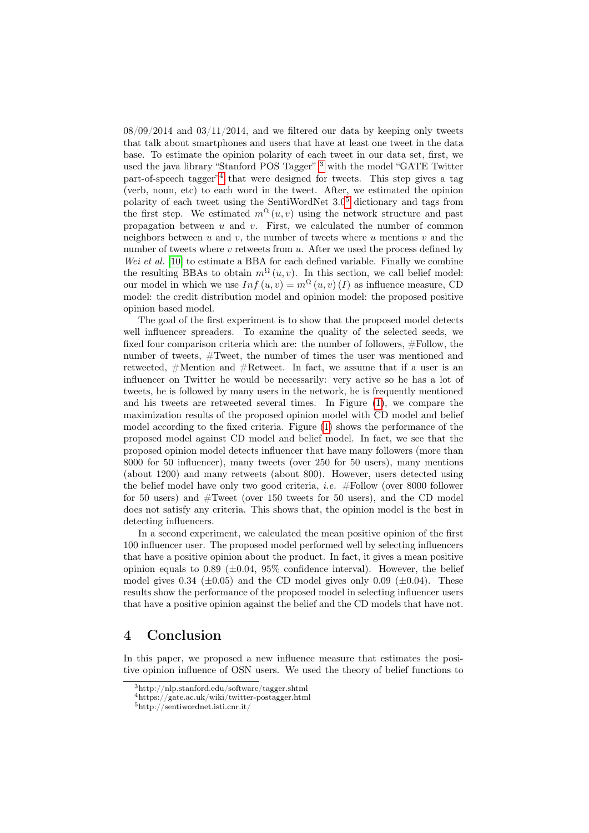$08/09/2014$  and  $03/11/2014$ , and we filtered our data by keeping only tweets that talk about smartphones and users that have at least one tweet in the data base. To estimate the opinion polarity of each tweet in our data set, first, we used the java library "Stanford POS Tagger" <sup>[3](#page-3-0)</sup> with the model "GATE Twitter part-of-speech tagger"[4](#page-3-1) that were designed for tweets. This step gives a tag (verb, noun, etc) to each word in the tweet. After, we estimated the opinion polarity of each tweet using the SentiWordNet  $3.0<sup>5</sup>$  $3.0<sup>5</sup>$  $3.0<sup>5</sup>$  dictionary and tags from the first step. We estimated  $m^{\Omega}(u, v)$  using the network structure and past propagation between  $u$  and  $v$ . First, we calculated the number of common neighbors between u and v, the number of tweets where u mentions v and the number of tweets where  $v$  retweets from  $u$ . After we used the process defined by Wei et al. [\[10\]](#page-5-3) to estimate a BBA for each defined variable. Finally we combine the resulting BBAs to obtain  $m^{\Omega}(u, v)$ . In this section, we call belief model: our model in which we use  $Inf(u, v) = m^{\Omega}(u, v) (I)$  as influence measure, CD model: the credit distribution model and opinion model: the proposed positive opinion based model.

The goal of the first experiment is to show that the proposed model detects well influencer spreaders. To examine the quality of the selected seeds, we fixed four comparison criteria which are: the number of followers, #Follow, the number of tweets, #Tweet, the number of times the user was mentioned and retweeted, #Mention and #Retweet. In fact, we assume that if a user is an influencer on Twitter he would be necessarily: very active so he has a lot of tweets, he is followed by many users in the network, he is frequently mentioned and his tweets are retweeted several times. In Figure [\(1\)](#page-4-5), we compare the maximization results of the proposed opinion model with CD model and belief model according to the fixed criteria. Figure [\(1\)](#page-4-5) shows the performance of the proposed model against CD model and belief model. In fact, we see that the proposed opinion model detects influencer that have many followers (more than 8000 for 50 influencer), many tweets (over 250 for 50 users), many mentions (about 1200) and many retweets (about 800). However, users detected using the belief model have only two good criteria, i.e. #Follow (over 8000 follower for 50 users) and  $# \text{Tweet}$  (over 150 tweets for 50 users), and the CD model does not satisfy any criteria. This shows that, the opinion model is the best in detecting influencers.

In a second experiment, we calculated the mean positive opinion of the first 100 influencer user. The proposed model performed well by selecting influencers that have a positive opinion about the product. In fact, it gives a mean positive opinion equals to 0.89 ( $\pm$ 0.04, 95% confidence interval). However, the belief model gives 0.34 ( $\pm$ 0.05) and the CD model gives only 0.09 ( $\pm$ 0.04). These results show the performance of the proposed model in selecting influencer users that have a positive opinion against the belief and the CD models that have not.

## 4 Conclusion

In this paper, we proposed a new influence measure that estimates the positive opinion influence of OSN users. We used the theory of belief functions to

<span id="page-3-0"></span><sup>3</sup>http://nlp.stanford.edu/software/tagger.shtml

<span id="page-3-1"></span><sup>4</sup>https://gate.ac.uk/wiki/twitter-postagger.html

<span id="page-3-2"></span><sup>5</sup>http://sentiwordnet.isti.cnr.it/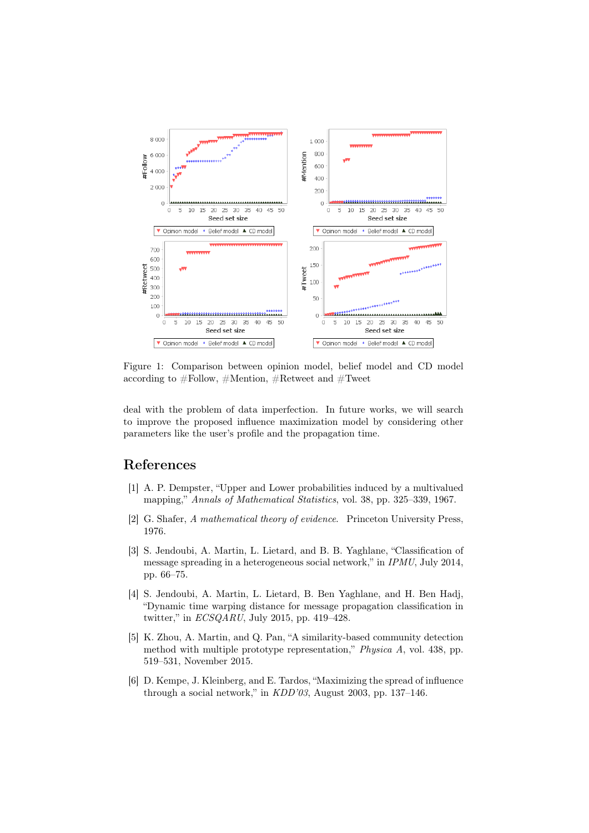

<span id="page-4-5"></span>Figure 1: Comparison between opinion model, belief model and CD model according to  $\#$ Follow,  $\#$ Mention,  $\#$ Retweet and  $\#$ Tweet

deal with the problem of data imperfection. In future works, we will search to improve the proposed influence maximization model by considering other parameters like the user's profile and the propagation time.

## References

- <span id="page-4-0"></span>[1] A. P. Dempster, "Upper and Lower probabilities induced by a multivalued mapping," Annals of Mathematical Statistics, vol. 38, pp. 325–339, 1967.
- <span id="page-4-1"></span>[2] G. Shafer, A mathematical theory of evidence. Princeton University Press, 1976.
- <span id="page-4-2"></span>[3] S. Jendoubi, A. Martin, L. Lietard, and B. B. Yaghlane, "Classification of message spreading in a heterogeneous social network," in IPMU, July 2014, pp. 66–75.
- [4] S. Jendoubi, A. Martin, L. Lietard, B. Ben Yaghlane, and H. Ben Hadj, "Dynamic time warping distance for message propagation classification in twitter," in ECSQARU, July 2015, pp. 419–428.
- <span id="page-4-3"></span>[5] K. Zhou, A. Martin, and Q. Pan, "A similarity-based community detection method with multiple prototype representation," Physica A, vol. 438, pp. 519–531, November 2015.
- <span id="page-4-4"></span>[6] D. Kempe, J. Kleinberg, and E. Tardos, "Maximizing the spread of influence through a social network," in KDD'03, August 2003, pp. 137–146.